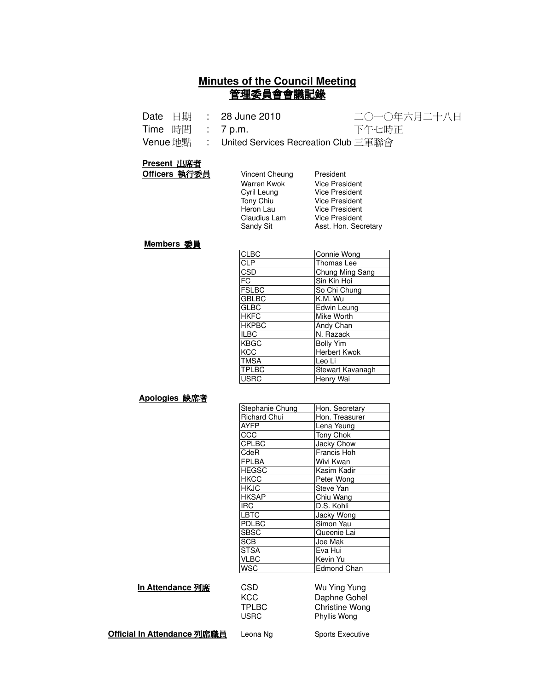## **Minutes of the Council Meeting** 管理委員會會議記錄

|  | Date 日期 : 28 June 2010                           | 二〇一〇年六月二十八日 |
|--|--------------------------------------------------|-------------|
|  | Time 時間 : 7p.m.                                  | 下午七時正       |
|  | Venue 地點  : United Services Recreation Club 三軍聯會 |             |

#### **Present 出席者**

**Officers 執行委員** Vincent Cheung President

| Vincent Cheung   |  |  |  |  |
|------------------|--|--|--|--|
| Warren Kwok      |  |  |  |  |
| Cyril Leung      |  |  |  |  |
| Tony Chiu        |  |  |  |  |
| Heron Lau        |  |  |  |  |
| Claudius Lam     |  |  |  |  |
| <b>Sandy Sit</b> |  |  |  |  |
|                  |  |  |  |  |

Vice President Vice President Vice President Vice President Vice President Asst. Hon. Secretary

#### **Members 委員**

| <b>CLBC</b>  | Connie Wong      |
|--------------|------------------|
| <b>CLP</b>   | Thomas Lee       |
| CSD          | Chung Ming Sang  |
| <b>FC</b>    | Sin Kin Hoi      |
| <b>FSLBC</b> | So Chi Chung     |
| <b>GBLBC</b> | K.M. Wu          |
| <b>GLBC</b>  | Edwin Leung      |
| <b>HKFC</b>  | Mike Worth       |
| <b>HKPBC</b> | Andy Chan        |
| <b>ILBC</b>  | N. Razack        |
| <b>KBGC</b>  | <b>Bolly Yim</b> |
| <b>KCC</b>   | Herbert Kwok     |
| <b>TMSA</b>  | Leo Li           |
| <b>TPLBC</b> | Stewart Kavanagh |
| <b>USRC</b>  | Henry Wai        |

#### <u>Apologies 缺席者</u>

| Hon. Secretary     |
|--------------------|
| Hon. Treasurer     |
| Lena Yeung         |
| Tony Chok          |
| Jacky Chow         |
| Francis Hoh        |
| Wivi Kwan          |
| Kasim Kadir        |
| Peter Wong         |
| Steve Yan          |
| Chiu Wang          |
| D.S. Kohli         |
| Jacky Wong         |
| Simon Yau          |
| Queenie Lai        |
| Joe Mak            |
| Eva Hui            |
| Kevin Yu           |
| <b>Edmond Chan</b> |
|                    |

#### **In Attendance 列席**

| <b>CSD</b>   | Wu Ying Yung   |
|--------------|----------------|
| KCC          | Daphne Gohel   |
| <b>TPLBC</b> | Christine Wong |
| <b>USRC</b>  | Phyllis Wong   |

**Official In Attendance 列席職員** l

Leona Ng Sports Executive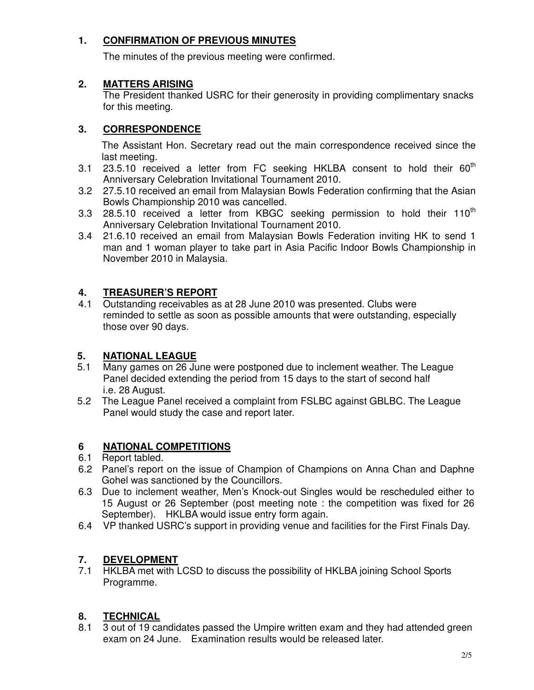# **1. CONFIRMATION OF PREVIOUS MINUTES**

The minutes of the previous meeting were confirmed.

#### **2. MATTERS ARISING**

The President thanked USRC for their generosity in providing complimentary snacks for this meeting.

## **3. CORRESPONDENCE**

The Assistant Hon. Secretary read out the main correspondence received since the last meeting.

- 3.1 23.5.10 received a letter from FC seeking HKLBA consent to hold their  $60<sup>th</sup>$ Anniversary Celebration Invitational Tournament 2010.
- 3.2 27.5.10 received an email from Malaysian Bowls Federation confirming that the Asian Bowls Championship 2010 was cancelled.
- 3.3 28.5.10 received a letter from KBGC seeking permission to hold their 110<sup>th</sup> Anniversary Celebration Invitational Tournament 2010.
- 3.4 21.6.10 received an email from Malaysian Bowls Federation inviting HK to send 1 man and 1 woman player to take part in Asia Pacific Indoor Bowls Championship in November 2010 in Malaysia.

## **4. TREASURER'S REPORT**

4.1 Outstanding receivables as at 28 June 2010 was presented. Clubs were reminded to settle as soon as possible amounts that were outstanding, especially those over 90 days.

## **5. NATIONAL LEAGUE**

- 5.1 Many games on 26 June were postponed due to inclement weather. The League Panel decided extending the period from 15 days to the start of second half i.e. 28 August.
- 5.2 The League Panel received a complaint from FSLBC against GBLBC. The League Panel would study the case and report later.

## **6 NATIONAL COMPETITIONS**

- 6.1 Report tabled.
- 6.2 Panel's report on the issue of Champion of Champions on Anna Chan and Daphne Gohel was sanctioned by the Councillors.
- 6.3 Due to inclement weather, Men's Knock-out Singles would be rescheduled either to 15 August or 26 September (post meeting note : the competition was fixed for 26 September). HKLBA would issue entry form again.
- 6.4 VP thanked USRC's support in providing venue and facilities for the First Finals Day.

## **7. DEVELOPMENT**

7.1 HKLBA met with LCSD to discuss the possibility of HKLBA joining School Sports Programme.

# **8. TECHNICAL**

8.1 3 out of 19 candidates passed the Umpire written exam and they had attended green exam on 24 June. Examination results would be released later.